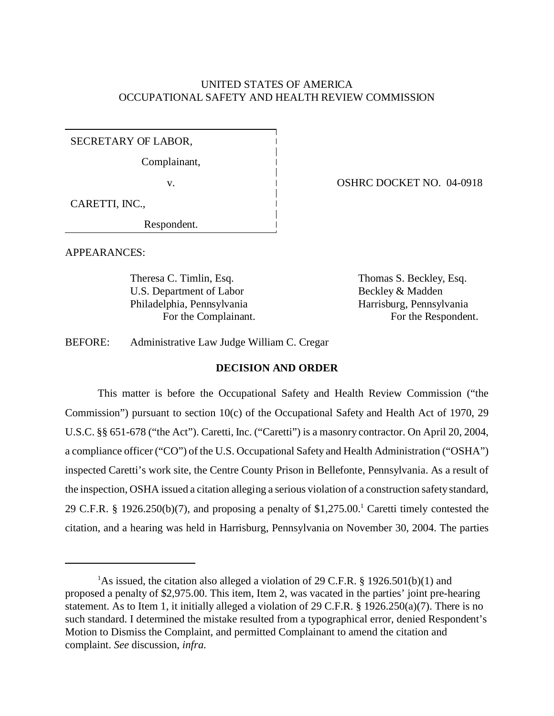# UNITED STATES OF AMERICA OCCUPATIONAL SAFETY AND HEALTH REVIEW COMMISSION

SECRETARY OF LABOR,

Complainant,

CARETTI, INC.,

Respondent.

APPEARANCES:

Theresa C. Timlin, Esq. Thomas S. Beckley, Esq. U.S. Department of Labor Beckley & Madden Philadelphia, Pennsylvania Harrisburg, Pennsylvania

v. 1 0SHRC DOCKET NO. 04-0918

For the Complainant. For the Respondent.

BEFORE: Administrative Law Judge William C. Cregar

# **DECISION AND ORDER**

This matter is before the Occupational Safety and Health Review Commission ("the Commission") pursuant to section 10(c) of the Occupational Safety and Health Act of 1970, 29 U.S.C. §§ 651-678 ("the Act"). Caretti, Inc. ("Caretti") is a masonry contractor. On April 20, 2004, a compliance officer ("CO") of the U.S. Occupational Safety and Health Administration ("OSHA") inspected Caretti's work site, the Centre County Prison in Bellefonte, Pennsylvania. As a result of the inspection, OSHA issued a citation alleging a serious violation of a construction safety standard, 29 C.F.R. § 1926.250(b)(7), and proposing a penalty of  $$1,275.00$ .<sup>1</sup> Caretti timely contested the citation, and a hearing was held in Harrisburg, Pennsylvania on November 30, 2004. The parties

<sup>&</sup>lt;sup>1</sup>As issued, the citation also alleged a violation of 29 C.F.R. § 1926.501(b)(1) and proposed a penalty of \$2,975.00. This item, Item 2, was vacated in the parties' joint pre-hearing statement. As to Item 1, it initially alleged a violation of 29 C.F.R. § 1926.250(a)(7). There is no such standard. I determined the mistake resulted from a typographical error, denied Respondent's Motion to Dismiss the Complaint, and permitted Complainant to amend the citation and complaint. *See* discussion, *infra*.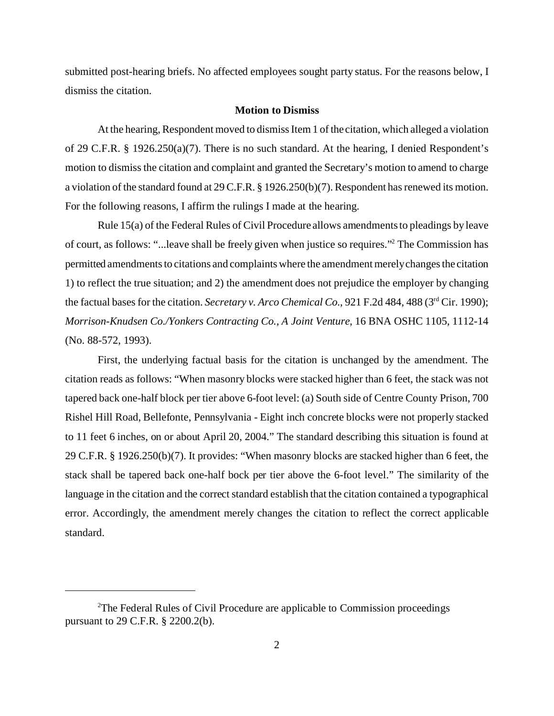submitted post-hearing briefs. No affected employees sought party status. For the reasons below, I dismiss the citation.

#### **Motion to Dismiss**

At the hearing, Respondent moved to dismiss Item 1 of the citation, which alleged a violation of 29 C.F.R. § 1926.250(a)(7). There is no such standard. At the hearing, I denied Respondent's motion to dismiss the citation and complaint and granted the Secretary's motion to amend to charge a violation of the standard found at 29 C.F.R. § 1926.250(b)(7). Respondent has renewed its motion. For the following reasons, I affirm the rulings I made at the hearing.

Rule 15(a) of the Federal Rules of Civil Procedure allows amendments to pleadings by leave of court, as follows: "...leave shall be freely given when justice so requires."2 The Commission has permitted amendments to citations and complaints where the amendment merely changes the citation 1) to reflect the true situation; and 2) the amendment does not prejudice the employer by changing the factual bases for the citation. *Secretary v. Arco Chemical Co.*, 921 F.2d 484, 488 (3<sup>rd</sup> Cir. 1990); *Morrison-Knudsen Co./Yonkers Contracting Co., A Joint Venture*, 16 BNA OSHC 1105, 1112-14 (No. 88-572, 1993).

First, the underlying factual basis for the citation is unchanged by the amendment. The citation reads as follows: "When masonry blocks were stacked higher than 6 feet, the stack was not tapered back one-half block per tier above 6-foot level: (a) South side of Centre County Prison, 700 Rishel Hill Road, Bellefonte, Pennsylvania - Eight inch concrete blocks were not properly stacked to 11 feet 6 inches, on or about April 20, 2004." The standard describing this situation is found at 29 C.F.R. § 1926.250(b)(7). It provides: "When masonry blocks are stacked higher than 6 feet, the stack shall be tapered back one-half bock per tier above the 6-foot level." The similarity of the language in the citation and the correct standard establish that the citation contained a typographical error. Accordingly, the amendment merely changes the citation to reflect the correct applicable standard.

<sup>&</sup>lt;sup>2</sup>The Federal Rules of Civil Procedure are applicable to Commission proceedings pursuant to 29 C.F.R. § 2200.2(b).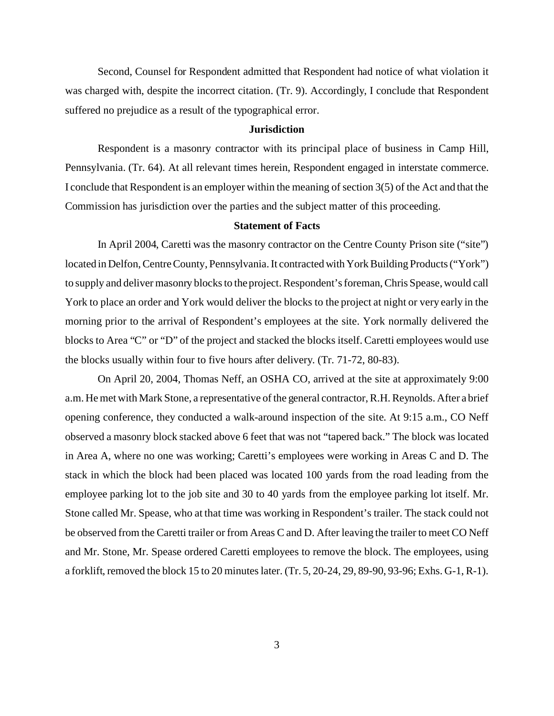Second, Counsel for Respondent admitted that Respondent had notice of what violation it was charged with, despite the incorrect citation. (Tr. 9). Accordingly, I conclude that Respondent suffered no prejudice as a result of the typographical error.

#### **Jurisdiction**

Respondent is a masonry contractor with its principal place of business in Camp Hill, Pennsylvania. (Tr. 64). At all relevant times herein, Respondent engaged in interstate commerce. I conclude that Respondent is an employer within the meaning of section 3(5) of the Act and that the Commission has jurisdiction over the parties and the subject matter of this proceeding.

## **Statement of Facts**

In April 2004, Caretti was the masonry contractor on the Centre County Prison site ("site") located in Delfon, Centre County, Pennsylvania. It contracted with York Building Products ("York") to supply and deliver masonry blocks to the project. Respondent's foreman, Chris Spease, would call York to place an order and York would deliver the blocks to the project at night or very early in the morning prior to the arrival of Respondent's employees at the site. York normally delivered the blocks to Area "C" or "D" of the project and stacked the blocks itself. Caretti employees would use the blocks usually within four to five hours after delivery. (Tr. 71-72, 80-83).

On April 20, 2004, Thomas Neff, an OSHA CO, arrived at the site at approximately 9:00 a.m.He met with Mark Stone, a representative of the general contractor, R.H. Reynolds. After a brief opening conference, they conducted a walk-around inspection of the site. At 9:15 a.m., CO Neff observed a masonry block stacked above 6 feet that was not "tapered back." The block was located in Area A, where no one was working; Caretti's employees were working in Areas C and D. The stack in which the block had been placed was located 100 yards from the road leading from the employee parking lot to the job site and 30 to 40 yards from the employee parking lot itself. Mr. Stone called Mr. Spease, who at that time was working in Respondent's trailer. The stack could not be observed from the Caretti trailer or from Areas C and D. After leaving the trailer to meet CO Neff and Mr. Stone, Mr. Spease ordered Caretti employees to remove the block. The employees, using a forklift, removed the block 15 to 20 minutes later. (Tr. 5, 20-24, 29, 89-90, 93-96; Exhs. G-1, R-1).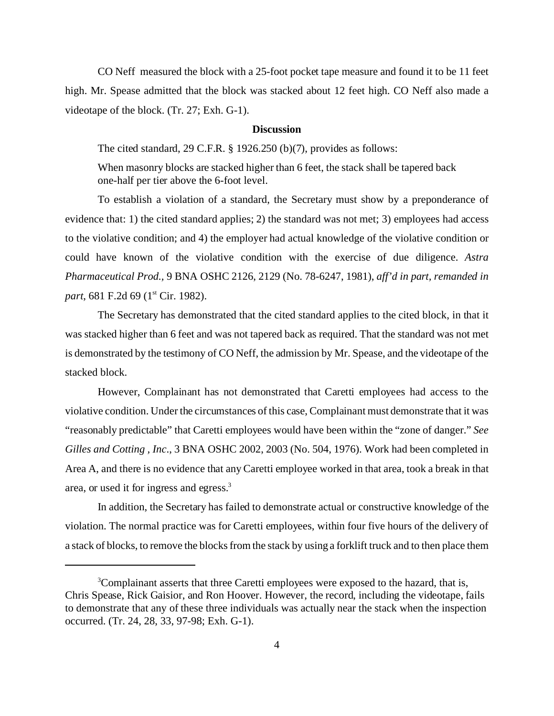CO Neff measured the block with a 25-foot pocket tape measure and found it to be 11 feet high. Mr. Spease admitted that the block was stacked about 12 feet high. CO Neff also made a videotape of the block. (Tr. 27; Exh. G-1).

#### **Discussion**

The cited standard, 29 C.F.R. § 1926.250 (b)(7), provides as follows:

When masonry blocks are stacked higher than 6 feet, the stack shall be tapered back one-half per tier above the 6-foot level.

To establish a violation of a standard, the Secretary must show by a preponderance of evidence that: 1) the cited standard applies; 2) the standard was not met; 3) employees had access to the violative condition; and 4) the employer had actual knowledge of the violative condition or could have known of the violative condition with the exercise of due diligence. *Astra Pharmaceutical Prod.,* 9 BNA OSHC 2126, 2129 (No. 78-6247, 1981), *aff'd in part, remanded in part*, 681 F.2d 69 (1<sup>st</sup> Cir. 1982).

The Secretary has demonstrated that the cited standard applies to the cited block, in that it was stacked higher than 6 feet and was not tapered back as required. That the standard was not met is demonstrated by the testimony of CO Neff, the admission by Mr. Spease, and the videotape of the stacked block.

However, Complainant has not demonstrated that Caretti employees had access to the violative condition. Under the circumstances of this case, Complainant must demonstrate that it was "reasonably predictable" that Caretti employees would have been within the "zone of danger." *See Gilles and Cotting , Inc*., 3 BNA OSHC 2002, 2003 (No. 504, 1976). Work had been completed in Area A, and there is no evidence that any Caretti employee worked in that area, took a break in that area, or used it for ingress and egress.3

In addition, the Secretary has failed to demonstrate actual or constructive knowledge of the violation. The normal practice was for Caretti employees, within four five hours of the delivery of a stack of blocks, to remove the blocks from the stack by using a forklift truck and to then place them

<sup>&</sup>lt;sup>3</sup>Complainant asserts that three Caretti employees were exposed to the hazard, that is, Chris Spease, Rick Gaisior, and Ron Hoover. However, the record, including the videotape, fails to demonstrate that any of these three individuals was actually near the stack when the inspection occurred. (Tr. 24, 28, 33, 97-98; Exh. G-1).